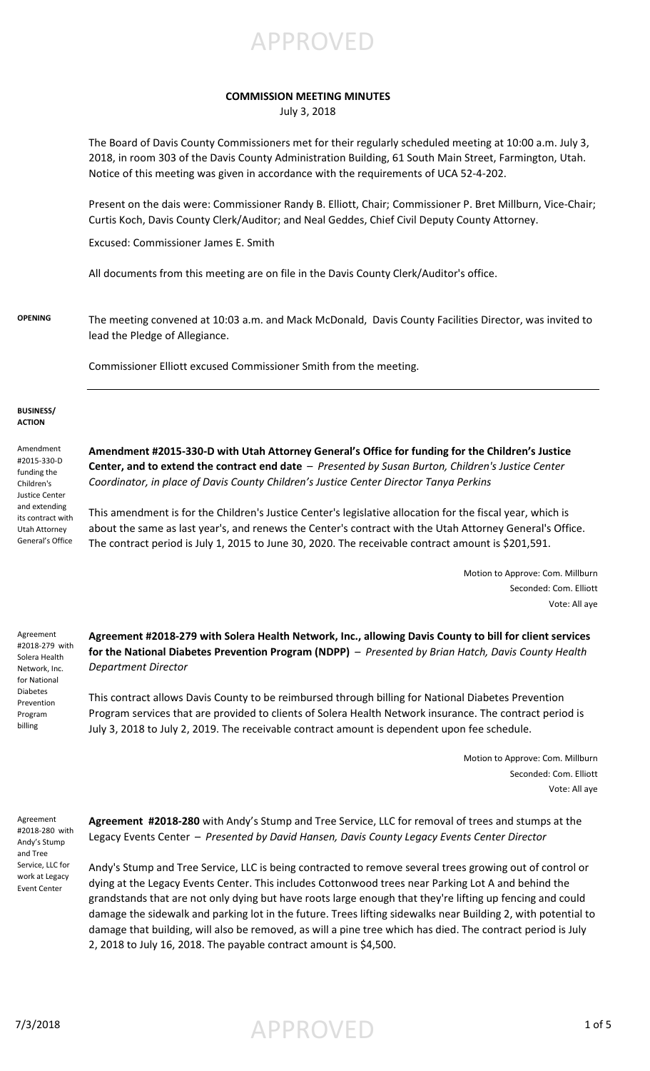APPROVED

### **COMMISSION MEETING MINUTES**

July 3, 2018

The Board of Davis County Commissioners met for their regularly scheduled meeting at 10:00 a.m. July 3, 2018, in room 303 of the Davis County Administration Building, 61 South Main Street, Farmington, Utah. Notice of this meeting was given in accordance with the requirements of UCA 52-4-202.

Present on the dais were: Commissioner Randy B. Elliott, Chair; Commissioner P. Bret Millburn, Vice-Chair; Curtis Koch, Davis County Clerk/Auditor; and Neal Geddes, Chief Civil Deputy County Attorney.

Excused: Commissioner James E. Smith

All documents from this meeting are on file in the Davis County Clerk/Auditor's office.

**OPENING** The meeting convened at 10:03 a.m. and Mack McDonald, Davis County Facilities Director, was invited to lead the Pledge of Allegiance.

Commissioner Elliott excused Commissioner Smith from the meeting.

### **BUSINESS/ ACTION**

Amendment #2015-330-D funding the Children's Justice Center and extending its contract with Utah Attorney General's Office

**Amendment #2015-330-D with Utah Attorney General's Office for funding for the Children's Justice Center, and to extend the contract end date** – *Presented by Susan Burton, Children's Justice Center Coordinator, in place of Davis County Children's Justice Center Director Tanya Perkins*

This amendment is for the Children's Justice Center's legislative allocation for the fiscal year, which is about the same as last year's, and renews the Center's contract with the Utah Attorney General's Office. The contract period is July 1, 2015 to June 30, 2020. The receivable contract amount is \$201,591.

> Motion to Approve: Com. Millburn Seconded: Com. Elliott Vote: All aye

Agreement #2018-279 with Solera Health Network, Inc. for National Diabetes Prevention Program billing

**Agreement #2018-279 with Solera Health Network, Inc., allowing Davis County to bill for client services for the National Diabetes Prevention Program (NDPP)** – *Presented by Brian Hatch, Davis County Health Department Director*

This contract allows Davis County to be reimbursed through billing for National Diabetes Prevention Program services that are provided to clients of Solera Health Network insurance. The contract period is July 3, 2018 to July 2, 2019. The receivable contract amount is dependent upon fee schedule.

> Motion to Approve: Com. Millburn Seconded: Com. Elliott Vote: All aye

Agreement #2018-280 with Andy's Stump and Tree Service, LLC for work at Legacy Event Center

**Agreement #2018-280** with Andy's Stump and Tree Service, LLC for removal of trees and stumps at the Legacy Events Center – *Presented by David Hansen, Davis County Legacy Events Center Director*

Andy's Stump and Tree Service, LLC is being contracted to remove several trees growing out of control or dying at the Legacy Events Center. This includes Cottonwood trees near Parking Lot A and behind the grandstands that are not only dying but have roots large enough that they're lifting up fencing and could damage the sidewalk and parking lot in the future. Trees lifting sidewalks near Building 2, with potential to damage that building, will also be removed, as will a pine tree which has died. The contract period is July 2, 2018 to July 16, 2018. The payable contract amount is \$4,500.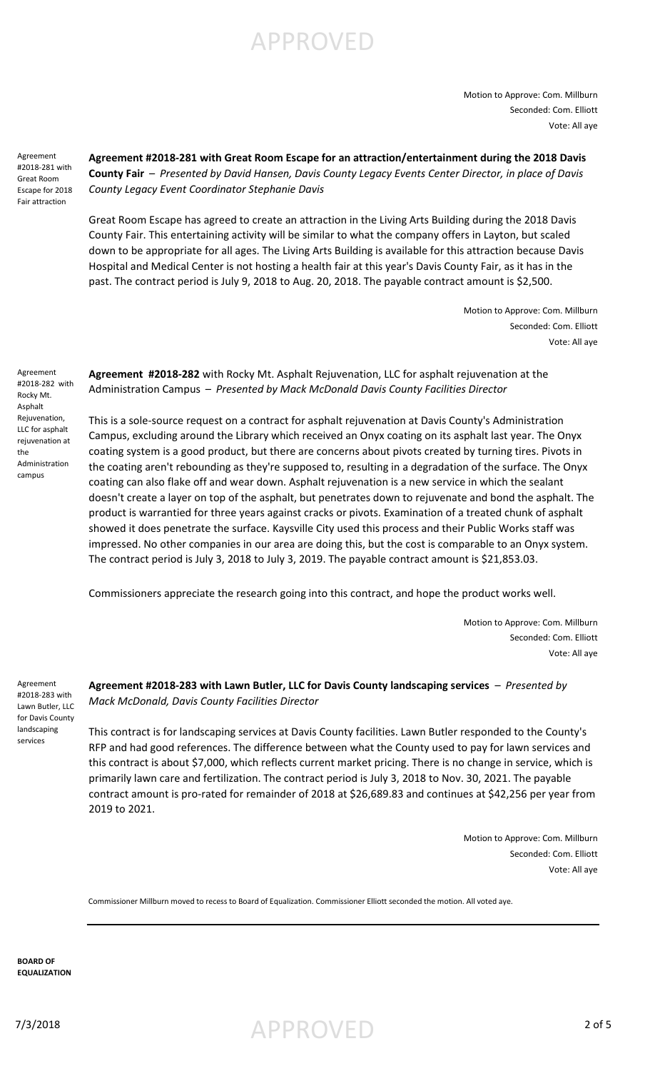# APPROVED

Motion to Approve: Com. Millburn Seconded: Com. Elliott Vote: All aye

Agreement #2018-281 with Great Room Escape for 2018 Fair attraction

**Agreement #2018-281 with Great Room Escape for an attraction/entertainment during the 2018 Davis County Fair** – *Presented by David Hansen, Davis County Legacy Events Center Director, in place of Davis County Legacy Event Coordinator Stephanie Davis*

Great Room Escape has agreed to create an attraction in the Living Arts Building during the 2018 Davis County Fair. This entertaining activity will be similar to what the company offers in Layton, but scaled down to be appropriate for all ages. The Living Arts Building is available for this attraction because Davis Hospital and Medical Center is not hosting a health fair at this year's Davis County Fair, as it has in the past. The contract period is July 9, 2018 to Aug. 20, 2018. The payable contract amount is \$2,500.

> Motion to Approve: Com. Millburn Seconded: Com. Elliott Vote: All aye

Agreement #2018-282 with Rocky Mt. Asphalt Rejuvenation, LLC for asphalt rejuvenation at the Administration campus

**Agreement #2018-282** with Rocky Mt. Asphalt Rejuvenation, LLC for asphalt rejuvenation at the Administration Campus – *Presented by Mack McDonald Davis County Facilities Director*

This is a sole-source request on a contract for asphalt rejuvenation at Davis County's Administration Campus, excluding around the Library which received an Onyx coating on its asphalt last year. The Onyx coating system is a good product, but there are concerns about pivots created by turning tires. Pivots in the coating aren't rebounding as they're supposed to, resulting in a degradation of the surface. The Onyx coating can also flake off and wear down. Asphalt rejuvenation is a new service in which the sealant doesn't create a layer on top of the asphalt, but penetrates down to rejuvenate and bond the asphalt. The product is warrantied for three years against cracks or pivots. Examination of a treated chunk of asphalt showed it does penetrate the surface. Kaysville City used this process and their Public Works staff was impressed. No other companies in our area are doing this, but the cost is comparable to an Onyx system. The contract period is July 3, 2018 to July 3, 2019. The payable contract amount is \$21,853.03.

Commissioners appreciate the research going into this contract, and hope the product works well.

Motion to Approve: Com. Millburn Seconded: Com. Elliott Vote: All aye

Agreement #2018-283 with Lawn Butler, LLC for Davis County landscaping services

**Agreement #2018-283 with Lawn Butler, LLC for Davis County landscaping services** – *Presented by Mack McDonald, Davis County Facilities Director*

This contract is for landscaping services at Davis County facilities. Lawn Butler responded to the County's RFP and had good references. The difference between what the County used to pay for lawn services and this contract is about \$7,000, which reflects current market pricing. There is no change in service, which is primarily lawn care and fertilization. The contract period is July 3, 2018 to Nov. 30, 2021. The payable contract amount is pro-rated for remainder of 2018 at \$26,689.83 and continues at \$42,256 per year from 2019 to 2021.

> Motion to Approve: Com. Millburn Seconded: Com. Elliott Vote: All aye

Commissioner Millburn moved to recess to Board of Equalization. Commissioner Elliott seconded the motion. All voted aye.

**BOARD OF EQUALIZATION**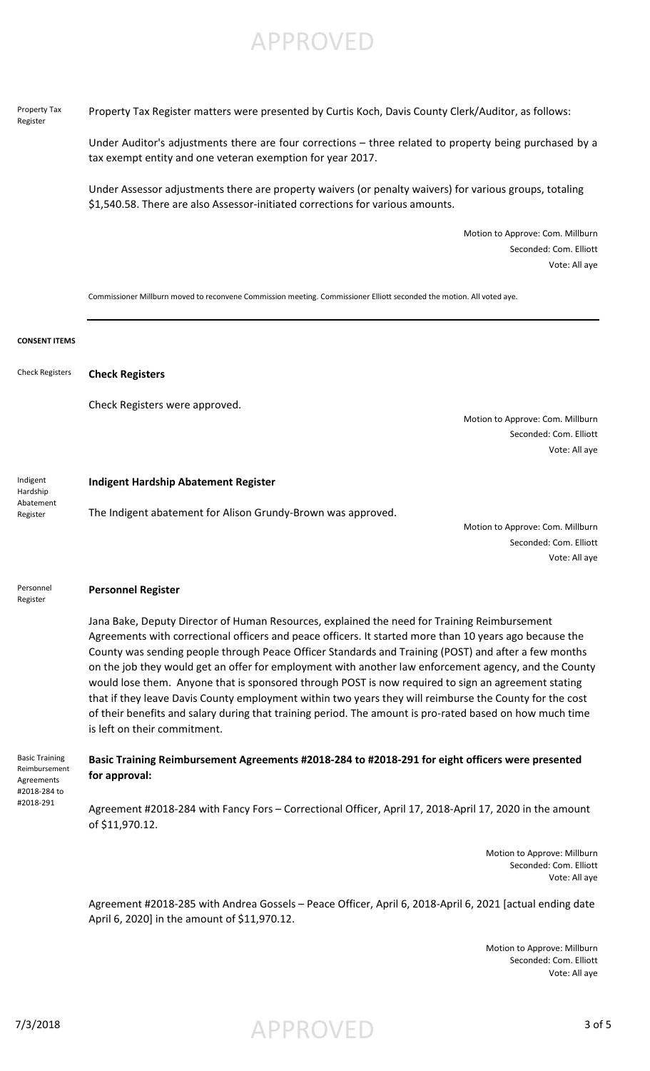## APPROVED

Property Tax Register

Property Tax Register matters were presented by Curtis Koch, Davis County Clerk/Auditor, as follows:

Under Auditor's adjustments there are four corrections – three related to property being purchased by a tax exempt entity and one veteran exemption for year 2017.

Under Assessor adjustments there are property waivers (or penalty waivers) for various groups, totaling \$1,540.58. There are also Assessor-initiated corrections for various amounts.

> Motion to Approve: Com. Millburn Seconded: Com. Elliott Vote: All aye

Commissioner Millburn moved to reconvene Commission meeting. Commissioner Elliott seconded the motion. All voted aye.

| <b>CONSENT ITEMS</b>                                                              |                                                                                                                                                                                                                                                                                                                                                                                                                                                                                                                                                                                                                                                                                                                                                                                        |
|-----------------------------------------------------------------------------------|----------------------------------------------------------------------------------------------------------------------------------------------------------------------------------------------------------------------------------------------------------------------------------------------------------------------------------------------------------------------------------------------------------------------------------------------------------------------------------------------------------------------------------------------------------------------------------------------------------------------------------------------------------------------------------------------------------------------------------------------------------------------------------------|
| <b>Check Registers</b>                                                            | <b>Check Registers</b>                                                                                                                                                                                                                                                                                                                                                                                                                                                                                                                                                                                                                                                                                                                                                                 |
|                                                                                   | Check Registers were approved.<br>Motion to Approve: Com. Millburn<br>Seconded: Com. Elliott<br>Vote: All aye                                                                                                                                                                                                                                                                                                                                                                                                                                                                                                                                                                                                                                                                          |
| Indigent<br>Hardship                                                              | <b>Indigent Hardship Abatement Register</b>                                                                                                                                                                                                                                                                                                                                                                                                                                                                                                                                                                                                                                                                                                                                            |
| Abatement<br>Register                                                             | The Indigent abatement for Alison Grundy-Brown was approved.<br>Motion to Approve: Com. Millburn<br>Seconded: Com. Elliott<br>Vote: All aye                                                                                                                                                                                                                                                                                                                                                                                                                                                                                                                                                                                                                                            |
| Personnel<br>Register                                                             | <b>Personnel Register</b>                                                                                                                                                                                                                                                                                                                                                                                                                                                                                                                                                                                                                                                                                                                                                              |
|                                                                                   | Jana Bake, Deputy Director of Human Resources, explained the need for Training Reimbursement<br>Agreements with correctional officers and peace officers. It started more than 10 years ago because the<br>County was sending people through Peace Officer Standards and Training (POST) and after a few months<br>on the job they would get an offer for employment with another law enforcement agency, and the County<br>would lose them. Anyone that is sponsored through POST is now required to sign an agreement stating<br>that if they leave Davis County employment within two years they will reimburse the County for the cost<br>of their benefits and salary during that training period. The amount is pro-rated based on how much time<br>is left on their commitment. |
| <b>Basic Training</b><br>Reimbursement<br>Agreements<br>#2018-284 to<br>#2018-291 | Basic Training Reimbursement Agreements #2018-284 to #2018-291 for eight officers were presented<br>for approval:                                                                                                                                                                                                                                                                                                                                                                                                                                                                                                                                                                                                                                                                      |
|                                                                                   | Agreement #2018-284 with Fancy Fors - Correctional Officer, April 17, 2018-April 17, 2020 in the amount<br>of \$11,970.12.                                                                                                                                                                                                                                                                                                                                                                                                                                                                                                                                                                                                                                                             |
|                                                                                   | Motion to Approve: Millburn<br>Seconded: Com. Elliott<br>Vote: All aye                                                                                                                                                                                                                                                                                                                                                                                                                                                                                                                                                                                                                                                                                                                 |
|                                                                                   | Agreement #2018-285 with Andrea Gossels - Peace Officer, April 6, 2018-April 6, 2021 [actual ending date                                                                                                                                                                                                                                                                                                                                                                                                                                                                                                                                                                                                                                                                               |

April 6, 2020] in the amount of \$11,970.12.

Motion to Approve: Millburn Seconded: Com. Elliott Vote: All aye

7/3/2018 APPROVED 3 of 5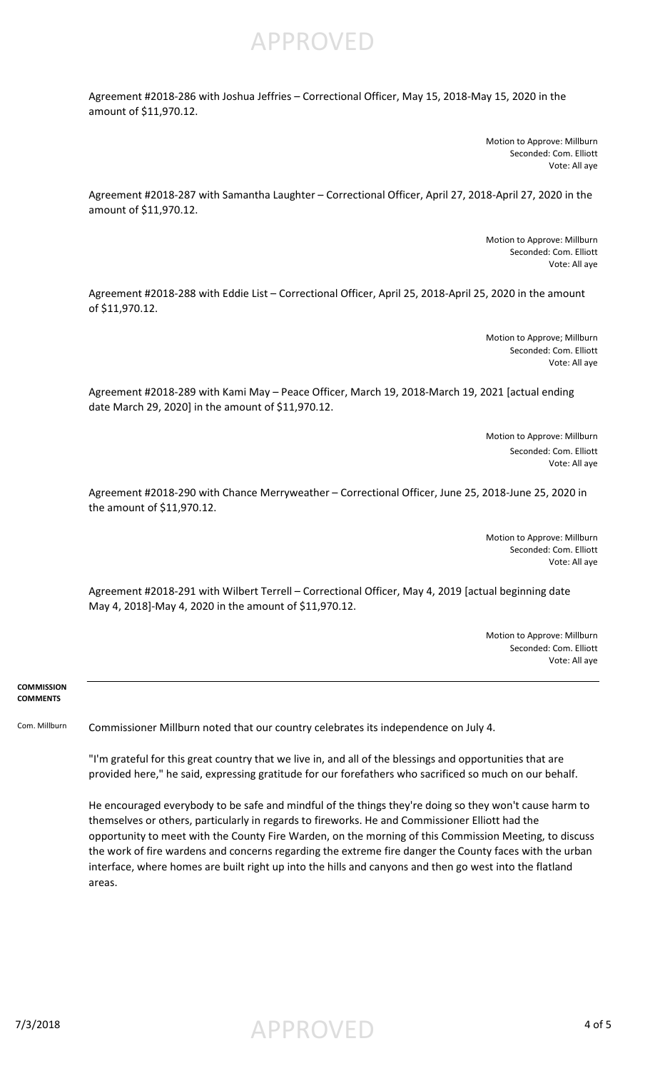APPROVED

Agreement #2018-286 with Joshua Jeffries – Correctional Officer, May 15, 2018-May 15, 2020 in the amount of \$11,970.12.

> Motion to Approve: Millburn Seconded: Com. Elliott Vote: All aye

Agreement #2018-287 with Samantha Laughter – Correctional Officer, April 27, 2018-April 27, 2020 in the amount of \$11,970.12.

> Motion to Approve: Millburn Seconded: Com. Elliott Vote: All aye

Agreement #2018-288 with Eddie List – Correctional Officer, April 25, 2018-April 25, 2020 in the amount of \$11,970.12.

> Motion to Approve; Millburn Seconded: Com. Elliott Vote: All aye

Agreement #2018-289 with Kami May – Peace Officer, March 19, 2018-March 19, 2021 [actual ending date March 29, 2020] in the amount of \$11,970.12.

> Motion to Approve: Millburn Seconded: Com. Elliott Vote: All aye

Agreement #2018-290 with Chance Merryweather – Correctional Officer, June 25, 2018-June 25, 2020 in the amount of \$11,970.12.

> Motion to Approve: Millburn Seconded: Com. Elliott Vote: All aye

Agreement #2018-291 with Wilbert Terrell – Correctional Officer, May 4, 2019 [actual beginning date May 4, 2018]-May 4, 2020 in the amount of \$11,970.12.

> Motion to Approve: Millburn Seconded: Com. Elliott Vote: All aye

### **COMMISSION COMMENTS**

Com. Millburn Commissioner Millburn noted that our country celebrates its independence on July 4.

"I'm grateful for this great country that we live in, and all of the blessings and opportunities that are provided here," he said, expressing gratitude for our forefathers who sacrificed so much on our behalf.

He encouraged everybody to be safe and mindful of the things they're doing so they won't cause harm to themselves or others, particularly in regards to fireworks. He and Commissioner Elliott had the opportunity to meet with the County Fire Warden, on the morning of this Commission Meeting, to discuss the work of fire wardens and concerns regarding the extreme fire danger the County faces with the urban interface, where homes are built right up into the hills and canyons and then go west into the flatland areas.